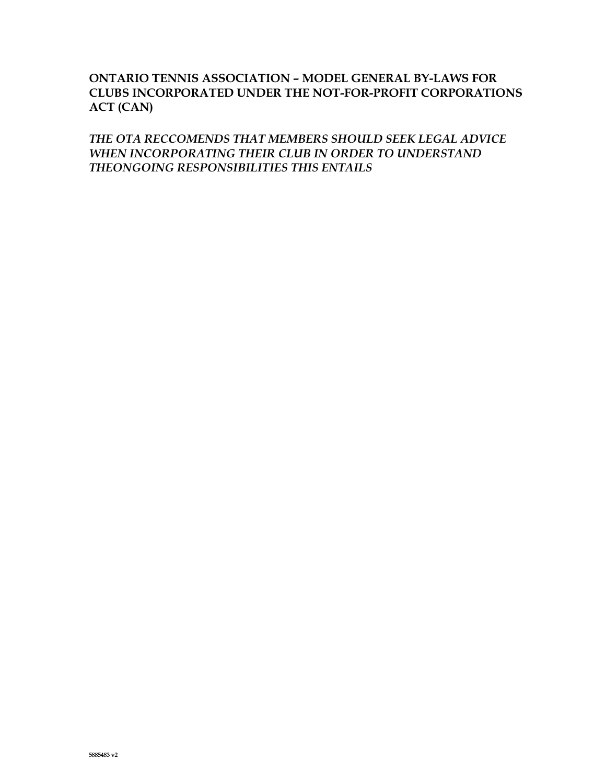# **ONTARIO TENNIS ASSOCIATION – MODEL GENERAL BY-LAWS FOR CLUBS INCORPORATED UNDER THE NOT-FOR-PROFIT CORPORATIONS ACT (CAN)**

*THE OTA RECCOMENDS THAT MEMBERS SHOULD SEEK LEGAL ADVICE WHEN INCORPORATING THEIR CLUB IN ORDER TO UNDERSTAND THEONGOING RESPONSIBILITIES THIS ENTAILS*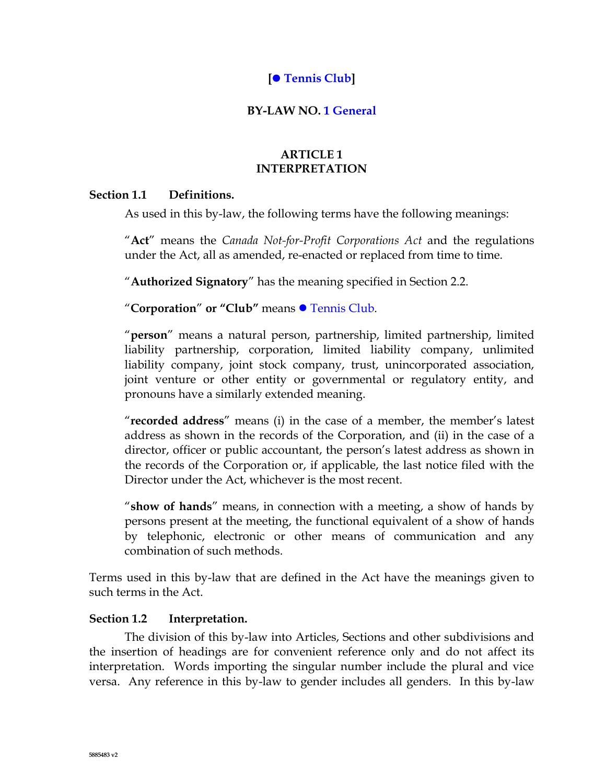# **[ Tennis Club]**

## **BY-LAW NO. 1 General**

# **ARTICLE 1 INTERPRETATION**

## **Section 1.1 Definitions.**

As used in this by-law, the following terms have the following meanings:

"**Act**" means the *Canada Not-for-Profit Corporations Act* and the regulations under the Act, all as amended, re-enacted or replaced from time to time.

"**Authorized Signatory**" has the meaning specified in [Section](#page-2-0) 2.2.

# "Corporation" or "Club" means **·** Tennis Club.

"**person**" means a natural person, partnership, limited partnership, limited liability partnership, corporation, limited liability company, unlimited liability company, joint stock company, trust, unincorporated association, joint venture or other entity or governmental or regulatory entity, and pronouns have a similarly extended meaning.

"**recorded address**" means (i) in the case of a member, the member's latest address as shown in the records of the Corporation, and (ii) in the case of a director, officer or public accountant, the person's latest address as shown in the records of the Corporation or, if applicable, the last notice filed with the Director under the Act, whichever is the most recent.

"**show of hands**" means, in connection with a meeting, a show of hands by persons present at the meeting, the functional equivalent of a show of hands by telephonic, electronic or other means of communication and any combination of such methods.

Terms used in this by-law that are defined in the Act have the meanings given to such terms in the Act.

# **Section 1.2 Interpretation.**

The division of this by-law into Articles, Sections and other subdivisions and the insertion of headings are for convenient reference only and do not affect its interpretation. Words importing the singular number include the plural and vice versa. Any reference in this by-law to gender includes all genders. In this by-law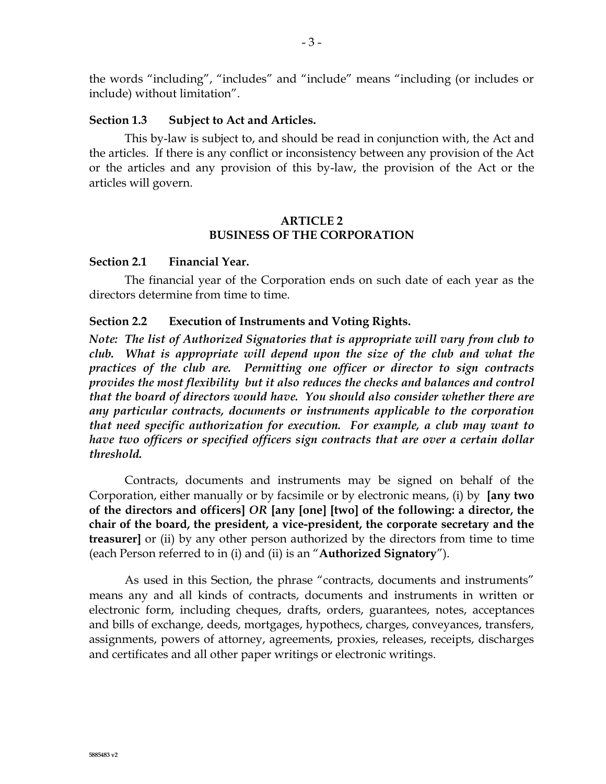the words "including", "includes" and "include" means "including (or includes or include) without limitation".

#### **Section 1.3 Subject to Act and Articles.**

This by-law is subject to, and should be read in conjunction with, the Act and the articles. If there is any conflict or inconsistency between any provision of the Act or the articles and any provision of this by-law, the provision of the Act or the articles will govern.

## **ARTICLE 2 BUSINESS OF THE CORPORATION**

## **Section 2.1 Financial Year.**

The financial year of the Corporation ends on such date of each year as the directors determine from time to time.

#### <span id="page-2-0"></span>**Section 2.2 Execution of Instruments and Voting Rights.**

*Note: The list of Authorized Signatories that is appropriate will vary from club to club. What is appropriate will depend upon the size of the club and what the practices of the club are. Permitting one officer or director to sign contracts provides the most flexibility but it also reduces the checks and balances and control that the board of directors would have. You should also consider whether there are any particular contracts, documents or instruments applicable to the corporation that need specific authorization for execution. For example, a club may want to have two officers or specified officers sign contracts that are over a certain dollar threshold.* 

Contracts, documents and instruments may be signed on behalf of the Corporation, either manually or by facsimile or by electronic means, (i) by **[any two of the directors and officers]** *OR* **[any [one] [two] of the following: a director, the chair of the board, the president, a vice-president, the corporate secretary and the treasurer]** or (ii) by any other person authorized by the directors from time to time (each Person referred to in (i) and (ii) is an "**Authorized Signatory**").

As used in this Section, the phrase "contracts, documents and instruments" means any and all kinds of contracts, documents and instruments in written or electronic form, including cheques, drafts, orders, guarantees, notes, acceptances and bills of exchange, deeds, mortgages, hypothecs, charges, conveyances, transfers, assignments, powers of attorney, agreements, proxies, releases, receipts, discharges and certificates and all other paper writings or electronic writings.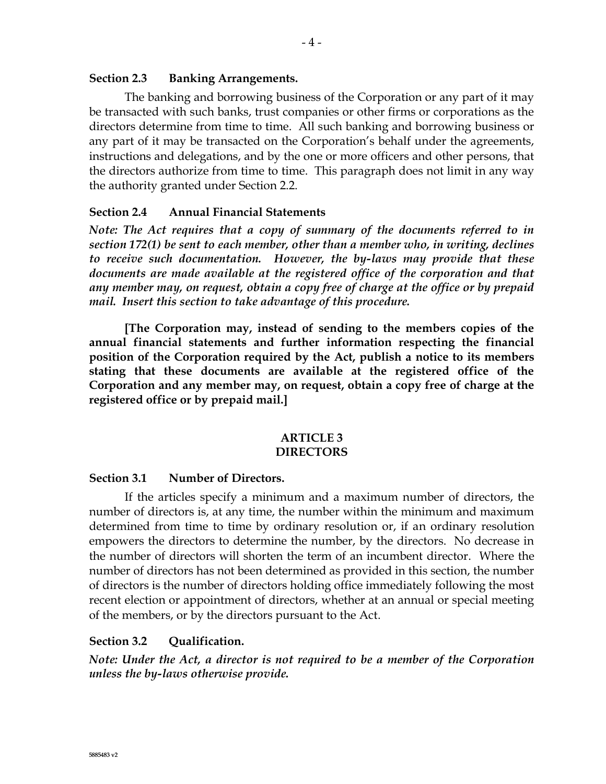### **Section 2.3 Banking Arrangements.**

The banking and borrowing business of the Corporation or any part of it may be transacted with such banks, trust companies or other firms or corporations as the directors determine from time to time. All such banking and borrowing business or any part of it may be transacted on the Corporation's behalf under the agreements, instructions and delegations, and by the one or more officers and other persons, that the directors authorize from time to time. This paragraph does not limit in any way the authority granted under [Section](#page-2-0) 2.2.

### **Section 2.4 Annual Financial Statements**

*Note: The Act requires that a copy of summary of the documents referred to in section 172(1) be sent to each member, other than a member who, in writing, declines to receive such documentation. However, the by-laws may provide that these documents are made available at the registered office of the corporation and that any member may, on request, obtain a copy free of charge at the office or by prepaid mail. Insert this section to take advantage of this procedure.*

**[The Corporation may, instead of sending to the members copies of the annual financial statements and further information respecting the financial position of the Corporation required by the Act, publish a notice to its members stating that these documents are available at the registered office of the Corporation and any member may, on request, obtain a copy free of charge at the registered office or by prepaid mail.]**

#### **ARTICLE 3 DIRECTORS**

#### **Section 3.1 Number of Directors.**

If the articles specify a minimum and a maximum number of directors, the number of directors is, at any time, the number within the minimum and maximum determined from time to time by ordinary resolution or, if an ordinary resolution empowers the directors to determine the number, by the directors. No decrease in the number of directors will shorten the term of an incumbent director. Where the number of directors has not been determined as provided in this section, the number of directors is the number of directors holding office immediately following the most recent election or appointment of directors, whether at an annual or special meeting of the members, or by the directors pursuant to the Act.

#### **Section 3.2 Qualification.**

*Note: Under the Act, a director is not required to be a member of the Corporation unless the by-laws otherwise provide.*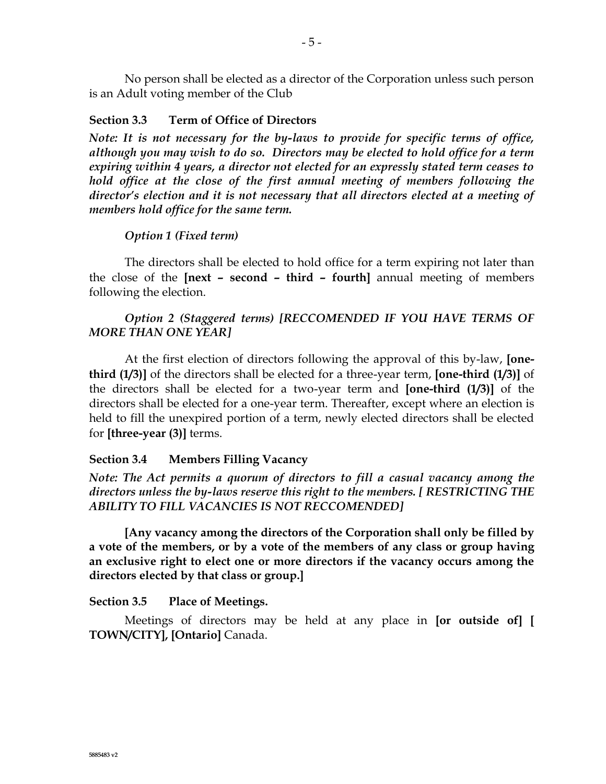No person shall be elected as a director of the Corporation unless such person is an Adult voting member of the Club

#### <span id="page-4-0"></span>**Section 3.3 Term of Office of Directors**

*Note: It is not necessary for the by-laws to provide for specific terms of office, although you may wish to do so. Directors may be elected to hold office for a term expiring within 4 years, a director not elected for an expressly stated term ceases to hold office at the close of the first annual meeting of members following the director's election and it is not necessary that all directors elected at a meeting of members hold office for the same term.*

#### *Option 1 (Fixed term)*

The directors shall be elected to hold office for a term expiring not later than the close of the **[next – second – third – fourth]** annual meeting of members following the election.

## *Option 2 (Staggered terms) [RECCOMENDED IF YOU HAVE TERMS OF MORE THAN ONE YEAR]*

At the first election of directors following the approval of this by-law, **[onethird (1/3)]** of the directors shall be elected for a three-year term, **[one-third (1/3)]** of the directors shall be elected for a two-year term and **[one-third (1/3)]** of the directors shall be elected for a one-year term. Thereafter, except where an election is held to fill the unexpired portion of a term, newly elected directors shall be elected for **[three-year (3)]** terms.

### **Section 3.4 Members Filling Vacancy**

*Note: The Act permits a quorum of directors to fill a casual vacancy among the directors unless the by-laws reserve this right to the members. [ RESTRICTING THE ABILITY TO FILL VACANCIES IS NOT RECCOMENDED]*

**[Any vacancy among the directors of the Corporation shall only be filled by a vote of the members, or by a vote of the members of any class or group having an exclusive right to elect one or more directors if the vacancy occurs among the directors elected by that class or group.]**

#### **Section 3.5 Place of Meetings.**

Meetings of directors may be held at any place in **[or outside of] [ TOWN/CITY], [Ontario]** Canada.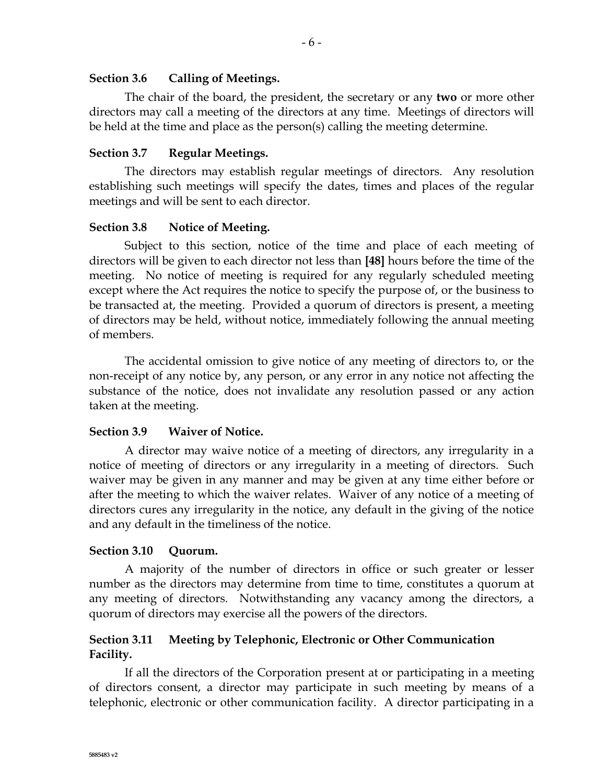## **Section 3.6 Calling of Meetings.**

The chair of the board, the president, the secretary or any **two** or more other directors may call a meeting of the directors at any time. Meetings of directors will be held at the time and place as the person(s) calling the meeting determine.

## **Section 3.7 Regular Meetings.**

The directors may establish regular meetings of directors. Any resolution establishing such meetings will specify the dates, times and places of the regular meetings and will be sent to each director.

## **Section 3.8 Notice of Meeting.**

Subject to this section, notice of the time and place of each meeting of directors will be given to each director not less than **[48]** hours before the time of the meeting. No notice of meeting is required for any regularly scheduled meeting except where the Act requires the notice to specify the purpose of, or the business to be transacted at, the meeting. Provided a quorum of directors is present, a meeting of directors may be held, without notice, immediately following the annual meeting of members.

The accidental omission to give notice of any meeting of directors to, or the non-receipt of any notice by, any person, or any error in any notice not affecting the substance of the notice, does not invalidate any resolution passed or any action taken at the meeting.

# **Section 3.9 Waiver of Notice.**

A director may waive notice of a meeting of directors, any irregularity in a notice of meeting of directors or any irregularity in a meeting of directors. Such waiver may be given in any manner and may be given at any time either before or after the meeting to which the waiver relates. Waiver of any notice of a meeting of directors cures any irregularity in the notice, any default in the giving of the notice and any default in the timeliness of the notice.

# **Section 3.10 Quorum.**

A majority of the number of directors in office or such greater or lesser number as the directors may determine from time to time, constitutes a quorum at any meeting of directors. Notwithstanding any vacancy among the directors, a quorum of directors may exercise all the powers of the directors.

# **Section 3.11 Meeting by Telephonic, Electronic or Other Communication Facility.**

If all the directors of the Corporation present at or participating in a meeting of directors consent, a director may participate in such meeting by means of a telephonic, electronic or other communication facility. A director participating in a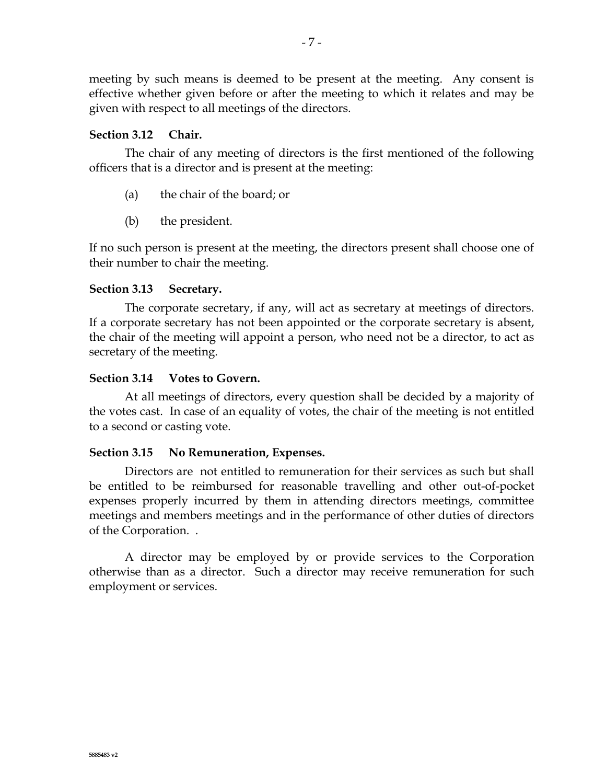meeting by such means is deemed to be present at the meeting. Any consent is effective whether given before or after the meeting to which it relates and may be given with respect to all meetings of the directors.

## <span id="page-6-1"></span>**Section 3.12 Chair.**

The chair of any meeting of directors is the first mentioned of the following officers that is a director and is present at the meeting:

- (a) the chair of the board; or
- (b) the president.

If no such person is present at the meeting, the directors present shall choose one of their number to chair the meeting.

# <span id="page-6-2"></span>**Section 3.13 Secretary.**

The corporate secretary, if any, will act as secretary at meetings of directors. If a corporate secretary has not been appointed or the corporate secretary is absent, the chair of the meeting will appoint a person, who need not be a director, to act as secretary of the meeting.

## <span id="page-6-0"></span>**Section 3.14 Votes to Govern.**

At all meetings of directors, every question shall be decided by a majority of the votes cast. In case of an equality of votes, the chair of the meeting is not entitled to a second or casting vote.

# **Section 3.15 No Remuneration, Expenses.**

Directors are not entitled to remuneration for their services as such but shall be entitled to be reimbursed for reasonable travelling and other out-of-pocket expenses properly incurred by them in attending directors meetings, committee meetings and members meetings and in the performance of other duties of directors of the Corporation. .

A director may be employed by or provide services to the Corporation otherwise than as a director. Such a director may receive remuneration for such employment or services.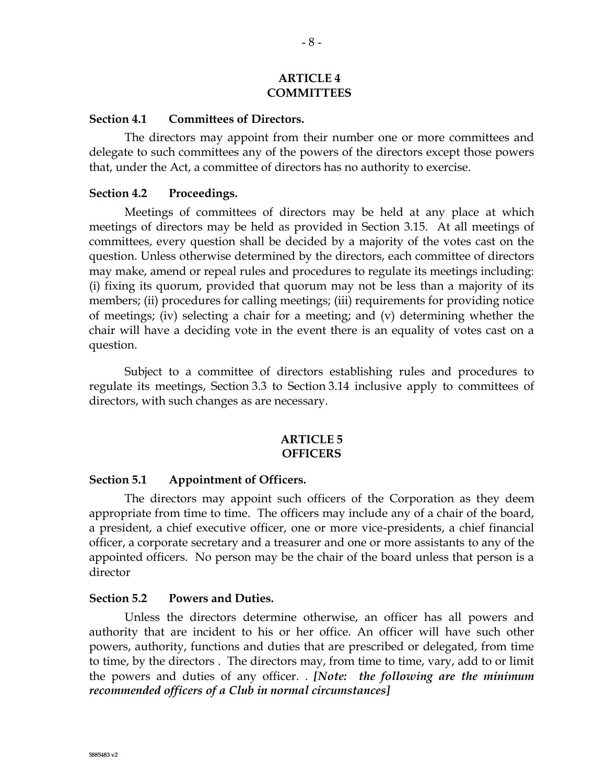#### **ARTICLE 4 COMMITTEES**

#### **Section 4.1 Committees of Directors.**

The directors may appoint from their number one or more committees and delegate to such committees any of the powers of the directors except those powers that, under the Act, a committee of directors has no authority to exercise.

#### **Section 4.2 Proceedings.**

Meetings of committees of directors may be held at any place at which meetings of directors may be held as provided in Section 3.15. At all meetings of committees, every question shall be decided by a majority of the votes cast on the question. Unless otherwise determined by the directors, each committee of directors may make, amend or repeal rules and procedures to regulate its meetings including: (i) fixing its quorum, provided that quorum may not be less than a majority of its members; (ii) procedures for calling meetings; (iii) requirements for providing notice of meetings; (iv) selecting a chair for a meeting; and (v) determining whether the chair will have a deciding vote in the event there is an equality of votes cast on a question.

Subject to a committee of directors establishing rules and procedures to regulate its meetings, [Section](#page-4-0) 3.3 to [Section](#page-6-0) 3.14 inclusive apply to committees of directors, with such changes as are necessary.

#### **ARTICLE 5 OFFICERS**

#### **Section 5.1 Appointment of Officers.**

The directors may appoint such officers of the Corporation as they deem appropriate from time to time. The officers may include any of a chair of the board, a president, a chief executive officer, one or more vice-presidents, a chief financial officer, a corporate secretary and a treasurer and one or more assistants to any of the appointed officers.No person may be the chair of the board unless that person is a director

#### **Section 5.2 Powers and Duties.**

Unless the directors determine otherwise, an officer has all powers and authority that are incident to his or her office. An officer will have such other powers, authority, functions and duties that are prescribed or delegated, from time to time, by the directors . The directors may, from time to time, vary, add to or limit the powers and duties of any officer. . *[Note: the following are the minimum recommended officers of a Club in normal circumstances]*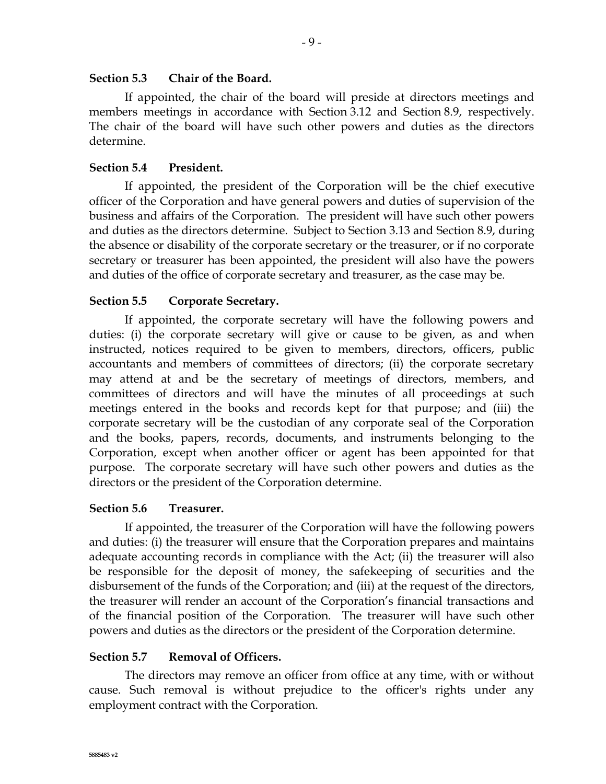### **Section 5.3 Chair of the Board.**

If appointed, the chair of the board will preside at directors meetings and members meetings in accordance with [Section](#page-6-1) 3.12 and [Section](#page-16-0) 8.9, respectively. The chair of the board will have such other powers and duties as the directors determine.

## **Section 5.4 President.**

If appointed, the president of the Corporation will be the chief executive officer of the Corporation and have general powers and duties of supervision of the business and affairs of the Corporation. The president will have such other powers and duties as the directors determine. Subject to [Section](#page-6-2) 3.13 and [Section](#page-16-0) 8.9, during the absence or disability of the corporate secretary or the treasurer, or if no corporate secretary or treasurer has been appointed, the president will also have the powers and duties of the office of corporate secretary and treasurer, as the case may be.

## **Section 5.5 Corporate Secretary.**

If appointed, the corporate secretary will have the following powers and duties: (i) the corporate secretary will give or cause to be given, as and when instructed, notices required to be given to members, directors, officers, public accountants and members of committees of directors; (ii) the corporate secretary may attend at and be the secretary of meetings of directors, members, and committees of directors and will have the minutes of all proceedings at such meetings entered in the books and records kept for that purpose; and (iii) the corporate secretary will be the custodian of any corporate seal of the Corporation and the books, papers, records, documents, and instruments belonging to the Corporation, except when another officer or agent has been appointed for that purpose. The corporate secretary will have such other powers and duties as the directors or the president of the Corporation determine.

### **Section 5.6 Treasurer.**

If appointed, the treasurer of the Corporation will have the following powers and duties: (i) the treasurer will ensure that the Corporation prepares and maintains adequate accounting records in compliance with the Act; (ii) the treasurer will also be responsible for the deposit of money, the safekeeping of securities and the disbursement of the funds of the Corporation; and (iii) at the request of the directors, the treasurer will render an account of the Corporation's financial transactions and of the financial position of the Corporation. The treasurer will have such other powers and duties as the directors or the president of the Corporation determine.

### **Section 5.7 Removal of Officers.**

The directors may remove an officer from office at any time, with or without cause. Such removal is without prejudice to the officer's rights under any employment contract with the Corporation.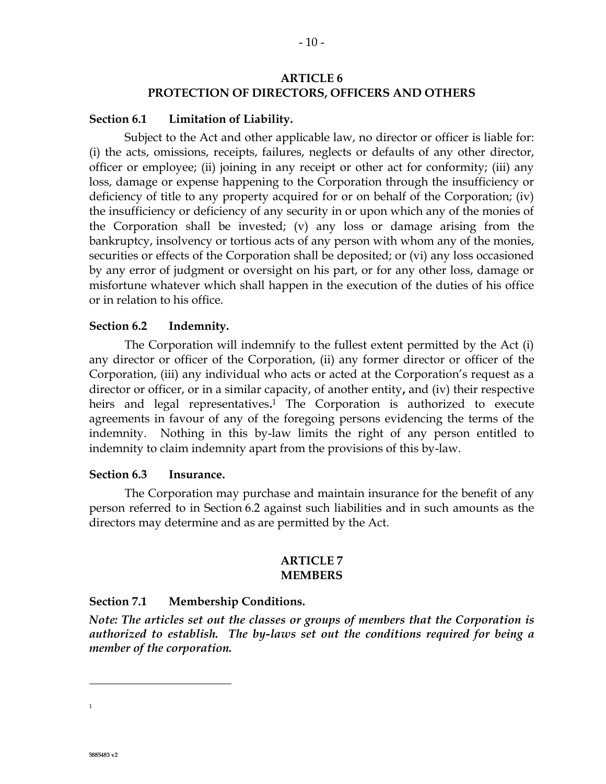# **ARTICLE 6 PROTECTION OF DIRECTORS, OFFICERS AND OTHERS**

## **Section 6.1 Limitation of Liability.**

Subject to the Act and other applicable law, no director or officer is liable for: (i) the acts, omissions, receipts, failures, neglects or defaults of any other director, officer or employee; (ii) joining in any receipt or other act for conformity; (iii) any loss, damage or expense happening to the Corporation through the insufficiency or deficiency of title to any property acquired for or on behalf of the Corporation; (iv) the insufficiency or deficiency of any security in or upon which any of the monies of the Corporation shall be invested; (v) any loss or damage arising from the bankruptcy, insolvency or tortious acts of any person with whom any of the monies, securities or effects of the Corporation shall be deposited; or (vi) any loss occasioned by any error of judgment or oversight on his part, or for any other loss, damage or misfortune whatever which shall happen in the execution of the duties of his office or in relation to his office.

## <span id="page-9-0"></span>**Section 6.2 Indemnity.**

The Corporation will indemnify to the fullest extent permitted by the Act (i) any director or officer of the Corporation, (ii) any former director or officer of the Corporation, (iii) any individual who acts or acted at the Corporation's request as a director or officer, or in a similar capacity, of another entity**,** and (iv) their respective heirs and legal representatives**.** <sup>1</sup> The Corporation is authorized to execute agreements in favour of any of the foregoing persons evidencing the terms of the indemnity. Nothing in this by-law limits the right of any person entitled to indemnity to claim indemnity apart from the provisions of this by-law.

### **Section 6.3 Insurance.**

The Corporation may purchase and maintain insurance for the benefit of any person referred to in [Section](#page-9-0) 6.2 against such liabilities and in such amounts as the directors may determine and as are permitted by the Act.

### **ARTICLE 7 MEMBERS**

# <span id="page-9-1"></span>**Section 7.1 Membership Conditions.**

*Note: The articles set out the classes or groups of members that the Corporation is authorized to establish. The by-laws set out the conditions required for being a member of the corporation.*

 $\overline{a}$ 

1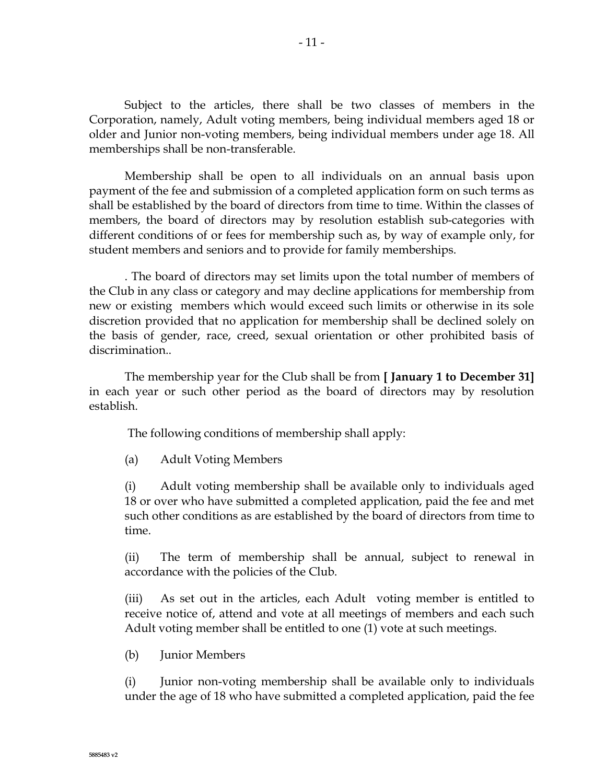Subject to the articles, there shall be two classes of members in the Corporation, namely, Adult voting members, being individual members aged 18 or older and Junior non-voting members, being individual members under age 18. All memberships shall be non-transferable.

Membership shall be open to all individuals on an annual basis upon payment of the fee and submission of a completed application form on such terms as shall be established by the board of directors from time to time. Within the classes of members, the board of directors may by resolution establish sub-categories with different conditions of or fees for membership such as, by way of example only, for student members and seniors and to provide for family memberships.

. The board of directors may set limits upon the total number of members of the Club in any class or category and may decline applications for membership from new or existing members which would exceed such limits or otherwise in its sole discretion provided that no application for membership shall be declined solely on the basis of gender, race, creed, sexual orientation or other prohibited basis of discrimination..

The membership year for the Club shall be from **[ January 1 to December 31]** in each year or such other period as the board of directors may by resolution establish.

The following conditions of membership shall apply:

(a) Adult Voting Members

(i) Adult voting membership shall be available only to individuals aged 18 or over who have submitted a completed application, paid the fee and met such other conditions as are established by the board of directors from time to time.

(ii) The term of membership shall be annual, subject to renewal in accordance with the policies of the Club.

(iii) As set out in the articles, each Adult voting member is entitled to receive notice of, attend and vote at all meetings of members and each such Adult voting member shall be entitled to one (1) vote at such meetings.

(b) Junior Members

(i) Junior non-voting membership shall be available only to individuals under the age of 18 who have submitted a completed application, paid the fee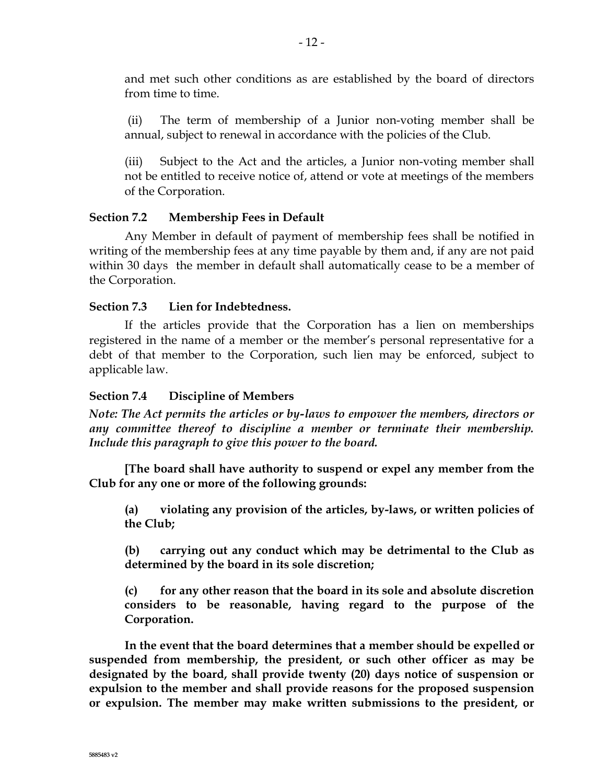and met such other conditions as are established by the board of directors from time to time.

(ii) The term of membership of a Junior non-voting member shall be annual, subject to renewal in accordance with the policies of the Club.

(iii) Subject to the Act and the articles, a Junior non-voting member shall not be entitled to receive notice of, attend or vote at meetings of the members of the Corporation.

# **Section 7.2 Membership Fees in Default**

Any Member in default of payment of membership fees shall be notified in writing of the membership fees at any time payable by them and, if any are not paid within 30 days the member in default shall automatically cease to be a member of the Corporation.

# **Section 7.3 Lien for Indebtedness.**

If the articles provide that the Corporation has a lien on memberships registered in the name of a member or the member's personal representative for a debt of that member to the Corporation, such lien may be enforced, subject to applicable law.

# **Section 7.4 Discipline of Members**

*Note: The Act permits the articles or by-laws to empower the members, directors or any committee thereof to discipline a member or terminate their membership. Include this paragraph to give this power to the board.*

**[The board shall have authority to suspend or expel any member from the Club for any one or more of the following grounds:**

**(a) violating any provision of the articles, by-laws, or written policies of the Club;** 

**(b) carrying out any conduct which may be detrimental to the Club as determined by the board in its sole discretion;**

**(c) for any other reason that the board in its sole and absolute discretion considers to be reasonable, having regard to the purpose of the Corporation.**

**In the event that the board determines that a member should be expelled or suspended from membership, the president, or such other officer as may be designated by the board, shall provide twenty (20) days notice of suspension or expulsion to the member and shall provide reasons for the proposed suspension or expulsion. The member may make written submissions to the president, or**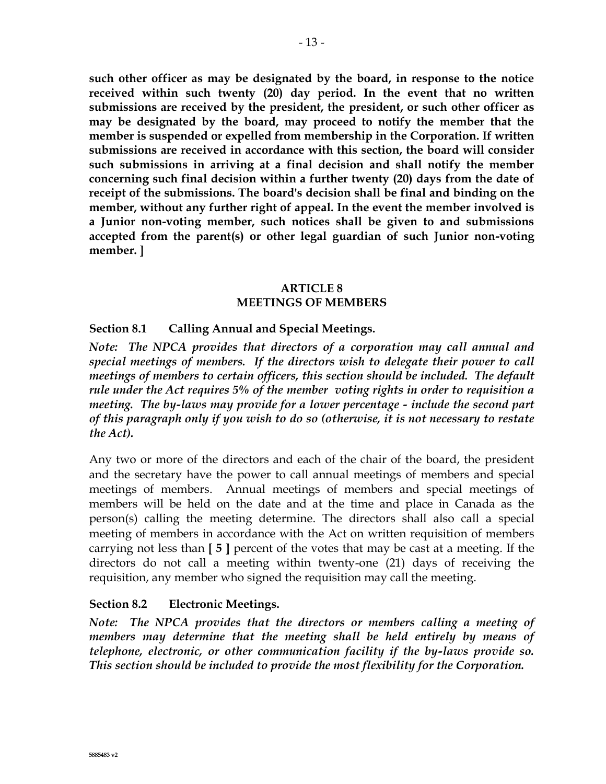**such other officer as may be designated by the board, in response to the notice received within such twenty (20) day period. In the event that no written submissions are received by the president, the president, or such other officer as may be designated by the board, may proceed to notify the member that the member is suspended or expelled from membership in the Corporation. If written submissions are received in accordance with this section, the board will consider such submissions in arriving at a final decision and shall notify the member concerning such final decision within a further twenty (20) days from the date of receipt of the submissions. The board's decision shall be final and binding on the member, without any further right of appeal. In the event the member involved is a Junior non-voting member, such notices shall be given to and submissions accepted from the parent(s) or other legal guardian of such Junior non-voting** 

# **member. ]**

## **ARTICLE 8 MEETINGS OF MEMBERS**

# **Section 8.1 Calling Annual and Special Meetings.**

*Note: The NPCA provides that directors of a corporation may call annual and special meetings of members. If the directors wish to delegate their power to call meetings of members to certain officers, this section should be included. The default rule under the Act requires 5% of the member voting rights in order to requisition a meeting. The by-laws may provide for a lower percentage - include the second part of this paragraph only if you wish to do so (otherwise, it is not necessary to restate the Act).* 

Any two or more of the directors and each of the chair of the board, the president and the secretary have the power to call annual meetings of members and special meetings of members. Annual meetings of members and special meetings of members will be held on the date and at the time and place in Canada as the person(s) calling the meeting determine. The directors shall also call a special meeting of members in accordance with the Act on written requisition of members carrying not less than **[ 5 ]** percent of the votes that may be cast at a meeting. If the directors do not call a meeting within twenty-one (21) days of receiving the requisition, any member who signed the requisition may call the meeting.

# **Section 8.2 Electronic Meetings.**

*Note: The NPCA provides that the directors or members calling a meeting of members may determine that the meeting shall be held entirely by means of telephone, electronic, or other communication facility if the by-laws provide so. This section should be included to provide the most flexibility for the Corporation.*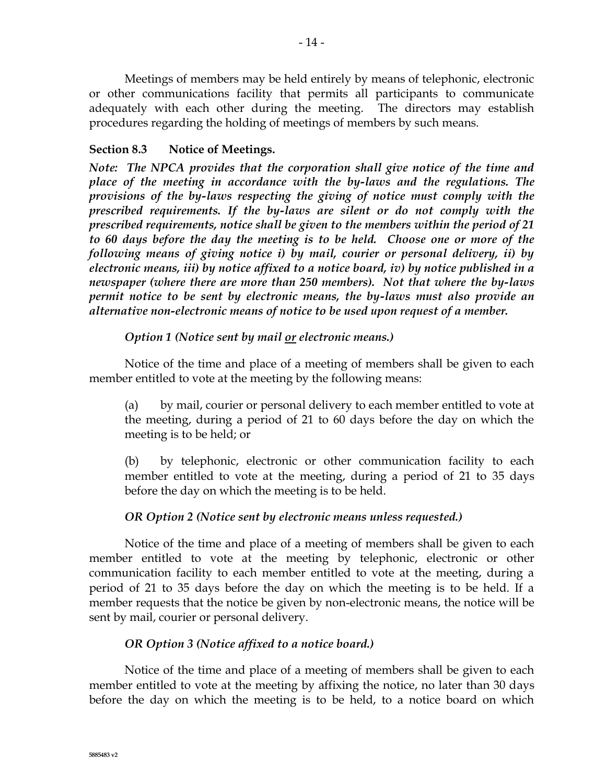Meetings of members may be held entirely by means of telephonic, electronic or other communications facility that permits all participants to communicate adequately with each other during the meeting. The directors may establish procedures regarding the holding of meetings of members by such means.

# <span id="page-13-0"></span>**Section 8.3 Notice of Meetings.**

*Note: The NPCA provides that the corporation shall give notice of the time and place of the meeting in accordance with the by-laws and the regulations. The provisions of the by-laws respecting the giving of notice must comply with the prescribed requirements. If the by-laws are silent or do not comply with the prescribed requirements, notice shall be given to the members within the period of 21 to 60 days before the day the meeting is to be held. Choose one or more of the following means of giving notice i) by mail, courier or personal delivery, ii) by electronic means, iii) by notice affixed to a notice board, iv) by notice published in a newspaper (where there are more than 250 members). Not that where the by-laws permit notice to be sent by electronic means, the by-laws must also provide an alternative non-electronic means of notice to be used upon request of a member.* 

# *Option 1 (Notice sent by mail or electronic means.)*

Notice of the time and place of a meeting of members shall be given to each member entitled to vote at the meeting by the following means:

(a) by mail, courier or personal delivery to each member entitled to vote at the meeting, during a period of 21 to 60 days before the day on which the meeting is to be held; or

(b) by telephonic, electronic or other communication facility to each member entitled to vote at the meeting, during a period of 21 to 35 days before the day on which the meeting is to be held.

# *OR Option 2 (Notice sent by electronic means unless requested.)*

Notice of the time and place of a meeting of members shall be given to each member entitled to vote at the meeting by telephonic, electronic or other communication facility to each member entitled to vote at the meeting, during a period of 21 to 35 days before the day on which the meeting is to be held. If a member requests that the notice be given by non-electronic means, the notice will be sent by mail, courier or personal delivery.

# *OR Option 3 (Notice affixed to a notice board.)*

Notice of the time and place of a meeting of members shall be given to each member entitled to vote at the meeting by affixing the notice, no later than 30 days before the day on which the meeting is to be held, to a notice board on which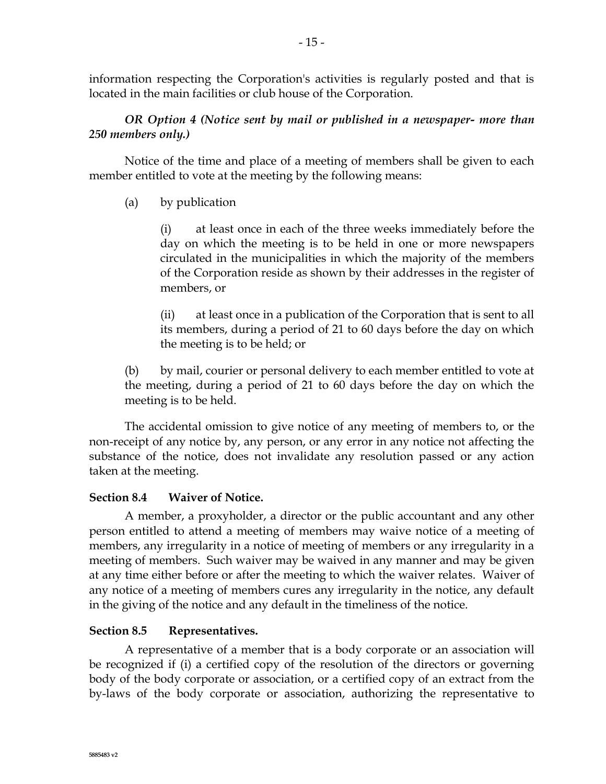information respecting the Corporation's activities is regularly posted and that is located in the main facilities or club house of the Corporation.

# *OR Option 4 (Notice sent by mail or published in a newspaper- more than 250 members only.)*

Notice of the time and place of a meeting of members shall be given to each member entitled to vote at the meeting by the following means:

# (a) by publication

(i) at least once in each of the three weeks immediately before the day on which the meeting is to be held in one or more newspapers circulated in the municipalities in which the majority of the members of the Corporation reside as shown by their addresses in the register of members, or

(ii) at least once in a publication of the Corporation that is sent to all its members, during a period of 21 to 60 days before the day on which the meeting is to be held; or

(b) by mail, courier or personal delivery to each member entitled to vote at the meeting, during a period of 21 to 60 days before the day on which the meeting is to be held.

The accidental omission to give notice of any meeting of members to, or the non-receipt of any notice by, any person, or any error in any notice not affecting the substance of the notice, does not invalidate any resolution passed or any action taken at the meeting.

# **Section 8.4 Waiver of Notice.**

A member, a proxyholder, a director or the public accountant and any other person entitled to attend a meeting of members may waive notice of a meeting of members, any irregularity in a notice of meeting of members or any irregularity in a meeting of members. Such waiver may be waived in any manner and may be given at any time either before or after the meeting to which the waiver relates. Waiver of any notice of a meeting of members cures any irregularity in the notice, any default in the giving of the notice and any default in the timeliness of the notice.

# **Section 8.5 Representatives.**

A representative of a member that is a body corporate or an association will be recognized if (i) a certified copy of the resolution of the directors or governing body of the body corporate or association, or a certified copy of an extract from the by-laws of the body corporate or association, authorizing the representative to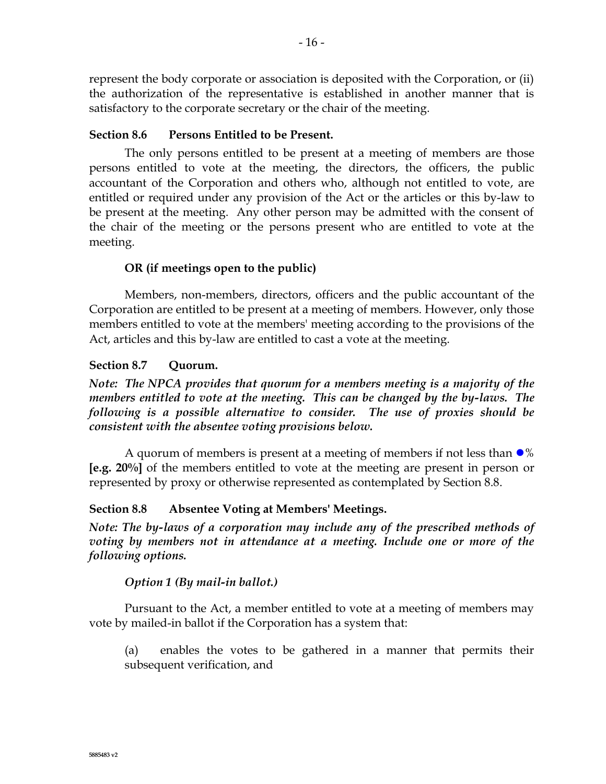represent the body corporate or association is deposited with the Corporation, or (ii) the authorization of the representative is established in another manner that is satisfactory to the corporate secretary or the chair of the meeting.

# **Section 8.6 Persons Entitled to be Present.**

The only persons entitled to be present at a meeting of members are those persons entitled to vote at the meeting, the directors, the officers, the public accountant of the Corporation and others who, although not entitled to vote, are entitled or required under any provision of the Act or the articles or this by-law to be present at the meeting. Any other person may be admitted with the consent of the chair of the meeting or the persons present who are entitled to vote at the meeting.

# **OR (if meetings open to the public)**

Members, non-members, directors, officers and the public accountant of the Corporation are entitled to be present at a meeting of members. However, only those members entitled to vote at the members' meeting according to the provisions of the Act, articles and this by-law are entitled to cast a vote at the meeting.

## **Section 8.7 Quorum.**

*Note: The NPCA provides that quorum for a members meeting is a majority of the members entitled to vote at the meeting. This can be changed by the by-laws. The following is a possible alternative to consider. The use of proxies should be consistent with the absentee voting provisions below.*

A quorum of members is present at a meeting of members if not less than  $\bullet\%$ **[e.g. 20%]** of the members entitled to vote at the meeting are present in person or represented by proxy or otherwise represented as contemplated by Section 8.8.

### <span id="page-15-0"></span>**Section 8.8 Absentee Voting at Members' Meetings.**

*Note: The by-laws of a corporation may include any of the prescribed methods of voting by members not in attendance at a meeting. Include one or more of the following options.*

### *Option 1 (By mail-in ballot.)*

Pursuant to the Act, a member entitled to vote at a meeting of members may vote by mailed-in ballot if the Corporation has a system that:

(a) enables the votes to be gathered in a manner that permits their subsequent verification, and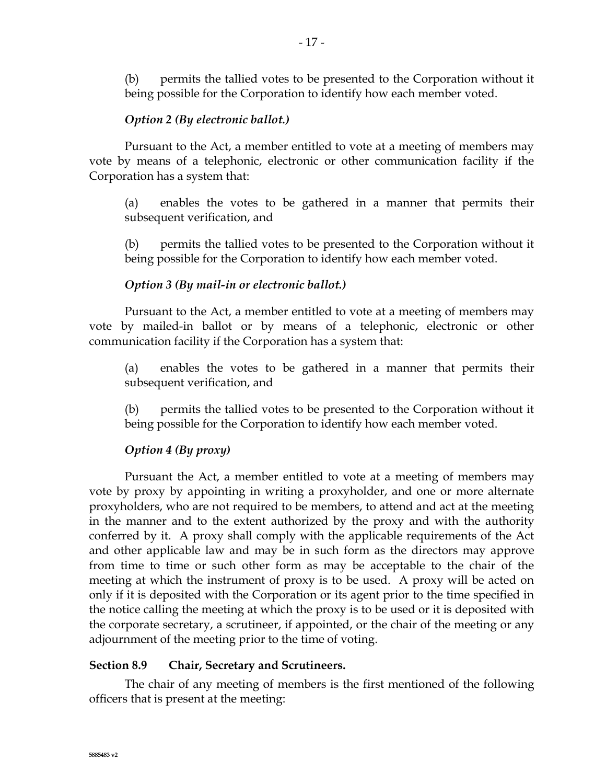(b) permits the tallied votes to be presented to the Corporation without it being possible for the Corporation to identify how each member voted.

## *Option 2 (By electronic ballot.)*

Pursuant to the Act, a member entitled to vote at a meeting of members may vote by means of a telephonic, electronic or other communication facility if the Corporation has a system that:

(a) enables the votes to be gathered in a manner that permits their subsequent verification, and

(b) permits the tallied votes to be presented to the Corporation without it being possible for the Corporation to identify how each member voted.

## *Option 3 (By mail-in or electronic ballot.)*

Pursuant to the Act, a member entitled to vote at a meeting of members may vote by mailed-in ballot or by means of a telephonic, electronic or other communication facility if the Corporation has a system that:

(a) enables the votes to be gathered in a manner that permits their subsequent verification, and

(b) permits the tallied votes to be presented to the Corporation without it being possible for the Corporation to identify how each member voted.

# *Option 4 (By proxy)*

Pursuant the Act, a member entitled to vote at a meeting of members may vote by proxy by appointing in writing a proxyholder, and one or more alternate proxyholders, who are not required to be members, to attend and act at the meeting in the manner and to the extent authorized by the proxy and with the authority conferred by it. A proxy shall comply with the applicable requirements of the Act and other applicable law and may be in such form as the directors may approve from time to time or such other form as may be acceptable to the chair of the meeting at which the instrument of proxy is to be used. A proxy will be acted on only if it is deposited with the Corporation or its agent prior to the time specified in the notice calling the meeting at which the proxy is to be used or it is deposited with the corporate secretary, a scrutineer, if appointed, or the chair of the meeting or any adjournment of the meeting prior to the time of voting.

### <span id="page-16-0"></span>**Section 8.9 Chair, Secretary and Scrutineers.**

The chair of any meeting of members is the first mentioned of the following officers that is present at the meeting: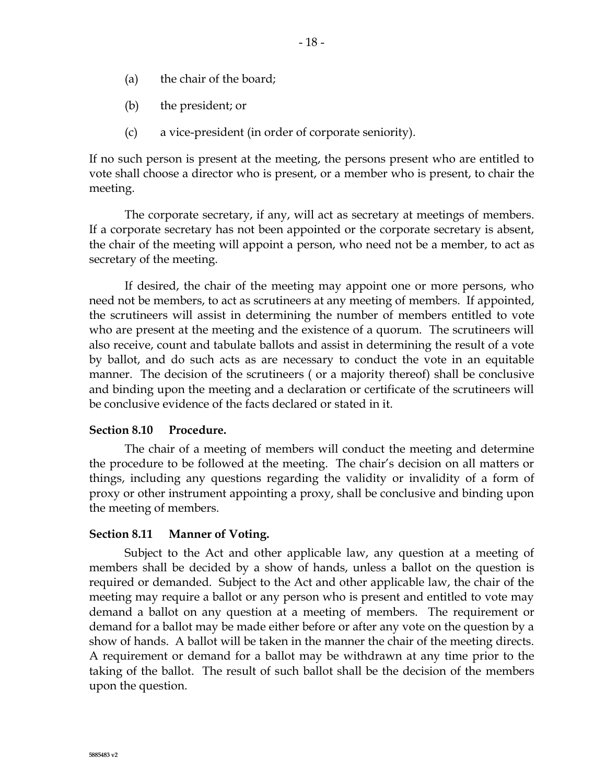- (a) the chair of the board;
- (b) the president; or
- (c) a vice-president (in order of corporate seniority).

If no such person is present at the meeting, the persons present who are entitled to vote shall choose a director who is present, or a member who is present, to chair the meeting.

The corporate secretary, if any, will act as secretary at meetings of members. If a corporate secretary has not been appointed or the corporate secretary is absent, the chair of the meeting will appoint a person, who need not be a member, to act as secretary of the meeting.

If desired, the chair of the meeting may appoint one or more persons, who need not be members, to act as scrutineers at any meeting of members. If appointed, the scrutineers will assist in determining the number of members entitled to vote who are present at the meeting and the existence of a quorum. The scrutineers will also receive, count and tabulate ballots and assist in determining the result of a vote by ballot, and do such acts as are necessary to conduct the vote in an equitable manner. The decision of the scrutineers ( or a majority thereof) shall be conclusive and binding upon the meeting and a declaration or certificate of the scrutineers will be conclusive evidence of the facts declared or stated in it.

### **Section 8.10 Procedure.**

The chair of a meeting of members will conduct the meeting and determine the procedure to be followed at the meeting. The chair's decision on all matters or things, including any questions regarding the validity or invalidity of a form of proxy or other instrument appointing a proxy, shall be conclusive and binding upon the meeting of members.

#### **Section 8.11 Manner of Voting.**

Subject to the Act and other applicable law, any question at a meeting of members shall be decided by a show of hands, unless a ballot on the question is required or demanded. Subject to the Act and other applicable law, the chair of the meeting may require a ballot or any person who is present and entitled to vote may demand a ballot on any question at a meeting of members. The requirement or demand for a ballot may be made either before or after any vote on the question by a show of hands. A ballot will be taken in the manner the chair of the meeting directs. A requirement or demand for a ballot may be withdrawn at any time prior to the taking of the ballot. The result of such ballot shall be the decision of the members upon the question.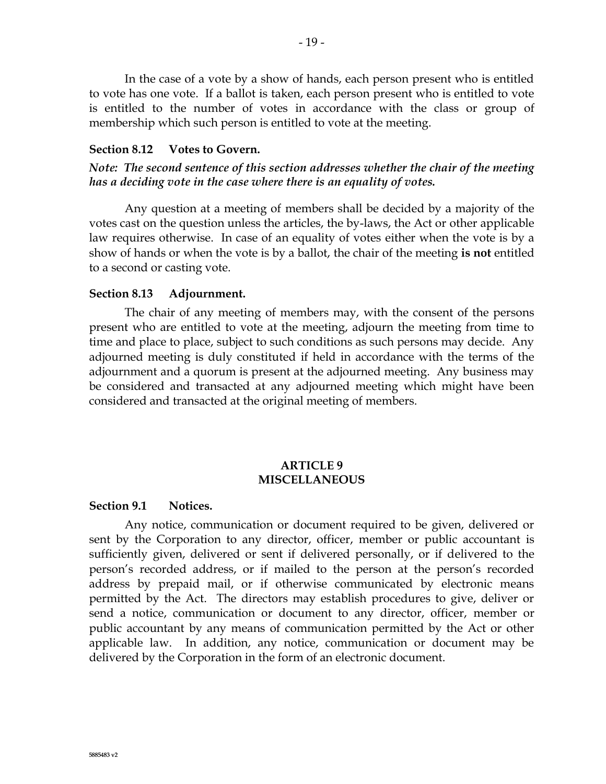In the case of a vote by a show of hands, each person present who is entitled to vote has one vote. If a ballot is taken, each person present who is entitled to vote is entitled to the number of votes in accordance with the class or group of membership which such person is entitled to vote at the meeting.

#### **Section 8.12 Votes to Govern.**

*Note: The second sentence of this section addresses whether the chair of the meeting has a deciding vote in the case where there is an equality of votes.*

Any question at a meeting of members shall be decided by a majority of the votes cast on the question unless the articles, the by-laws, the Act or other applicable law requires otherwise. In case of an equality of votes either when the vote is by a show of hands or when the vote is by a ballot, the chair of the meeting **is not** entitled to a second or casting vote.

#### **Section 8.13 Adjournment.**

The chair of any meeting of members may, with the consent of the persons present who are entitled to vote at the meeting, adjourn the meeting from time to time and place to place, subject to such conditions as such persons may decide. Any adjourned meeting is duly constituted if held in accordance with the terms of the adjournment and a quorum is present at the adjourned meeting. Any business may be considered and transacted at any adjourned meeting which might have been considered and transacted at the original meeting of members.

### **ARTICLE 9 MISCELLANEOUS**

#### **Section 9.1 Notices.**

Any notice, communication or document required to be given, delivered or sent by the Corporation to any director, officer, member or public accountant is sufficiently given, delivered or sent if delivered personally, or if delivered to the person's recorded address, or if mailed to the person at the person's recorded address by prepaid mail, or if otherwise communicated by electronic means permitted by the Act. The directors may establish procedures to give, deliver or send a notice, communication or document to any director, officer, member or public accountant by any means of communication permitted by the Act or other applicable law. In addition, any notice, communication or document may be delivered by the Corporation in the form of an electronic document.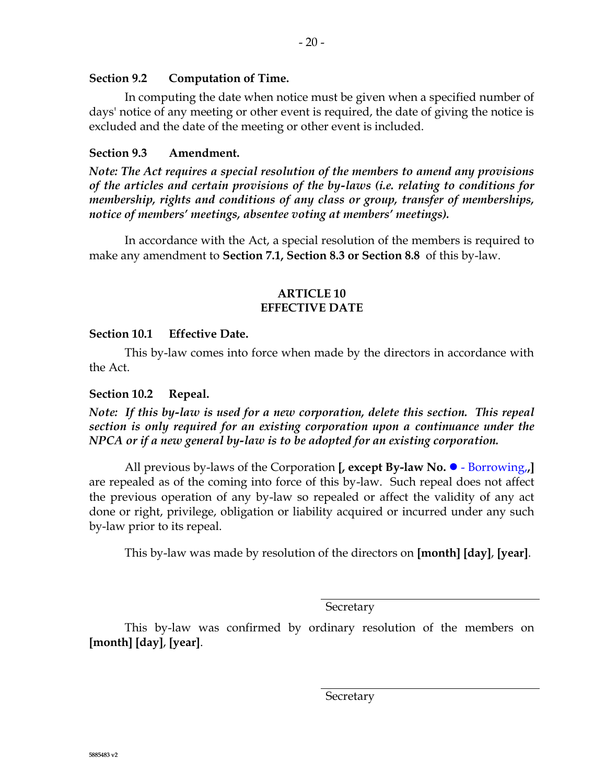#### **Section 9.2 Computation of Time.**

In computing the date when notice must be given when a specified number of days' notice of any meeting or other event is required, the date of giving the notice is excluded and the date of the meeting or other event is included.

#### **Section 9.3 Amendment.**

*Note: The Act requires a special resolution of the members to amend any provisions of the articles and certain provisions of the by-laws (i.e. relating to conditions for membership, rights and conditions of any class or group, transfer of memberships, notice of members' meetings, absentee voting at members' meetings).* 

In accordance with the Act, a special resolution of the members is required to make any amendment to **[Section](#page-9-1) 7.1, [Section](#page-13-0) 8.3 or [Section](#page-15-0) 8.8** of this by-law.

#### **ARTICLE 10 EFFECTIVE DATE**

#### **Section 10.1 Effective Date.**

This by-law comes into force when made by the directors in accordance with the Act.

#### **Section 10.2 Repeal.**

*Note: If this by-law is used for a new corporation, delete this section. This repeal section is only required for an existing corporation upon a continuance under the NPCA or if a new general by-law is to be adopted for an existing corporation.*

All previous by-laws of the Corporation **[, except By-law No. •** - Borrowing, **]** are repealed as of the coming into force of this by-law. Such repeal does not affect the previous operation of any by-law so repealed or affect the validity of any act done or right, privilege, obligation or liability acquired or incurred under any such by-law prior to its repeal.

This by-law was made by resolution of the directors on **[month] [day]**, **[year]**.

Secretary

This by-law was confirmed by ordinary resolution of the members on **[month] [day]**, **[year]**.

**Secretary**